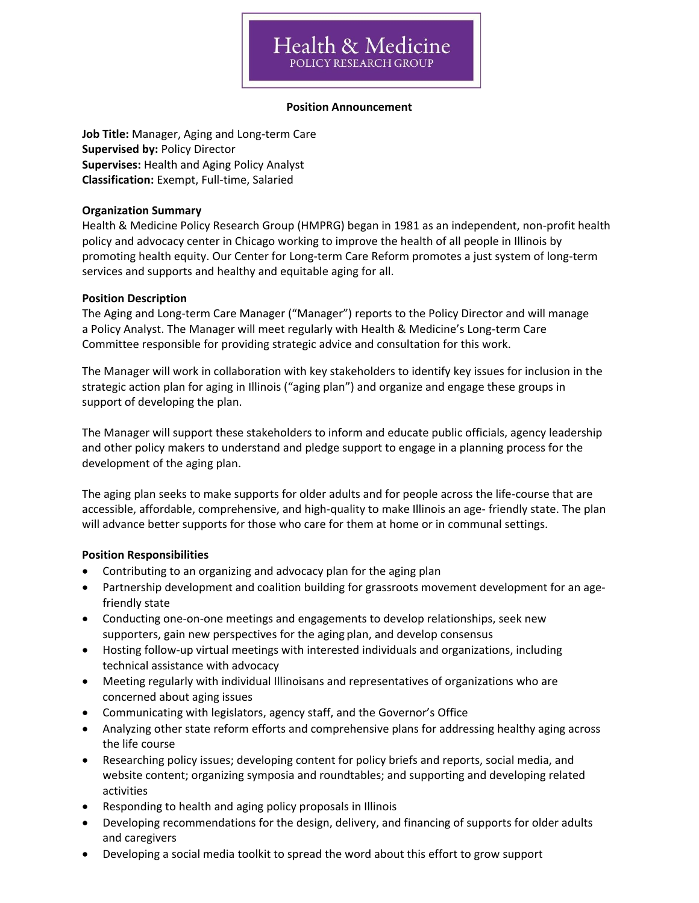#### **Position Announcement**

**Job Title:** Manager, Aging and Long-term Care **Supervised by:** Policy Director **Supervises:** Health and Aging Policy Analyst **Classification:** Exempt, Full-time, Salaried

### **Organization Summary**

Health & Medicine Policy Research Group (HMPRG) began in 1981 as an independent, non-profit health policy and advocacy center in Chicago working to improve the health of all people in Illinois by promoting health equity. Our Center for Long-term Care Reform promotes a just system of long-term services and supports and healthy and equitable aging for all.

### **Position Description**

The Aging and Long-term Care Manager ("Manager") reports to the Policy Director and will manage a Policy Analyst. The Manager will meet regularly with Health & Medicine's Long-term Care Committee responsible for providing strategic advice and consultation for this work.

The Manager will work in collaboration with key stakeholders to identify key issues for inclusion in the strategic action plan for aging in Illinois ("aging plan") and organize and engage these groups in support of developing the plan.

The Manager will support these stakeholders to inform and educate public officials, agency leadership and other policy makers to understand and pledge support to engage in a planning process for the development of the aging plan.

The aging plan seeks to make supports for older adults and for people across the life-course that are accessible, affordable, comprehensive, and high-quality to make Illinois an age- friendly state. The plan will advance better supports for those who care for them at home or in communal settings.

### **Position Responsibilities**

- Contributing to an organizing and advocacy plan for the aging plan
- Partnership development and coalition building for grassroots movement development for an agefriendly state
- Conducting one-on-one meetings and engagements to develop relationships, seek new supporters, gain new perspectives for the aging plan, and develop consensus
- Hosting follow-up virtual meetings with interested individuals and organizations, including technical assistance with advocacy
- Meeting regularly with individual Illinoisans and representatives of organizations who are concerned about aging issues
- Communicating with legislators, agency staff, and the Governor's Office
- Analyzing other state reform efforts and comprehensive plans for addressing healthy aging across the life course
- Researching policy issues; developing content for policy briefs and reports, social media, and website content; organizing symposia and roundtables; and supporting and developing related activities
- Responding to health and aging policy proposals in Illinois
- Developing recommendations for the design, delivery, and financing of supports for older adults and caregivers
- Developing a social media toolkit to spread the word about this effort to grow support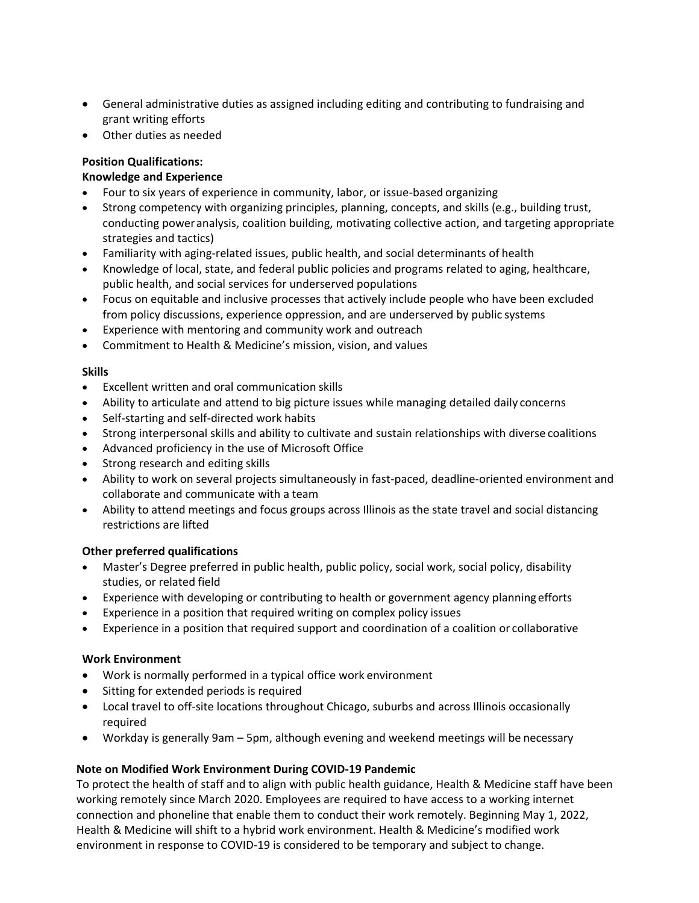- General administrative duties as assigned including editing and contributing to fundraising and grant writing efforts
- Other duties as needed

## **Position Qualifications:**

## **Knowledge and Experience**

- Four to six years of experience in community, labor, or issue-based organizing
- Strong competency with organizing principles, planning, concepts, and skills (e.g., building trust, conducting poweranalysis, coalition building, motivating collective action, and targeting appropriate strategies and tactics)
- Familiarity with aging-related issues, public health, and social determinants of health
- Knowledge of local, state, and federal public policies and programs related to aging, healthcare, public health, and social services for underserved populations
- Focus on equitable and inclusive processes that actively include people who have been excluded from policy discussions, experience oppression, and are underserved by public systems
- Experience with mentoring and community work and outreach
- Commitment to Health & Medicine's mission, vision, and values

## **Skills**

- Excellent written and oral communication skills
- Ability to articulate and attend to big picture issues while managing detailed daily concerns
- Self-starting and self-directed work habits
- Strong interpersonal skills and ability to cultivate and sustain relationships with diverse coalitions
- Advanced proficiency in the use of Microsoft Office
- Strong research and editing skills
- Ability to work on several projects simultaneously in fast-paced, deadline-oriented environment and collaborate and communicate with a team
- Ability to attend meetings and focus groups across Illinois as the state travel and social distancing restrictions are lifted

### **Other preferred qualifications**

- Master's Degree preferred in public health, public policy, social work, social policy, disability studies, or related field
- Experience with developing or contributing to health or government agency planning efforts
- Experience in a position that required writing on complex policy issues
- Experience in a position that required support and coordination of a coalition or collaborative

### **Work Environment**

- Work is normally performed in a typical office work environment
- Sitting for extended periods is required
- Local travel to off-site locations throughout Chicago, suburbs and across Illinois occasionally required
- Workday is generally 9am 5pm, although evening and weekend meetings will be necessary

# **Note on Modified Work Environment During COVID-19 Pandemic**

To protect the health of staff and to align with public health guidance, Health & Medicine staff have been working remotely since March 2020. Employees are required to have access to a working internet connection and phoneline that enable them to conduct their work remotely. Beginning May 1, 2022, Health & Medicine will shift to a hybrid work environment. Health & Medicine's modified work environment in response to COVID-19 is considered to be temporary and subject to change.